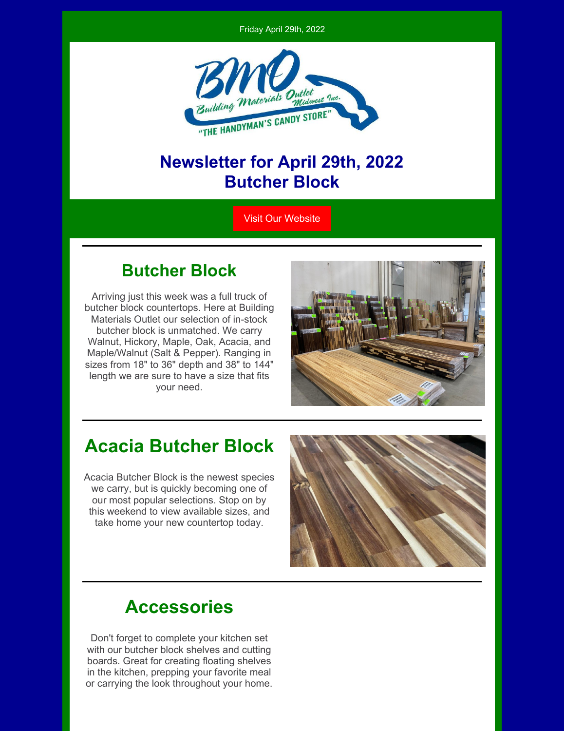



#### **Newsletter for April 29th, 2022 Butcher Block**

Visit Our [Website](https://bmomn.com/)

#### **Butcher Block**

Arriving just this week was a full truck of butcher block countertops. Here at Building Materials Outlet our selection of in-stock butcher block is unmatched. We carry Walnut, Hickory, Maple, Oak, Acacia, and Maple/Walnut (Salt & Pepper). Ranging in sizes from 18" to 36" depth and 38" to 144" length we are sure to have a size that fits your need.



### **Acacia Butcher Block**

Acacia Butcher Block is the newest species we carry, but is quickly becoming one of our most popular selections. Stop on by this weekend to view available sizes, and take home your new countertop today.



# **Accessories**

Don't forget to complete your kitchen set with our butcher block shelves and cutting boards. Great for creating floating shelves in the kitchen, prepping your favorite meal or carrying the look throughout your home.